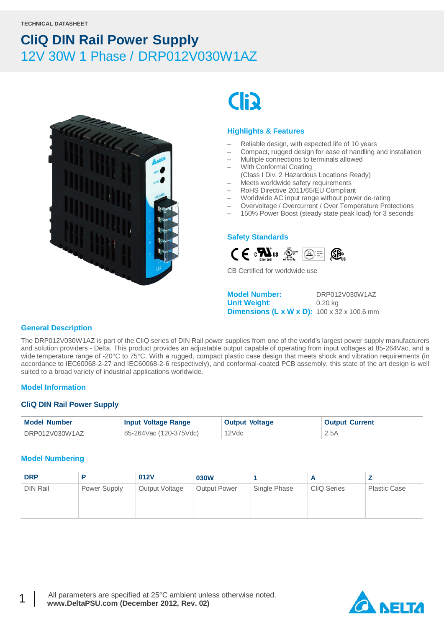

# **Cli**

#### **Highlights & Features**

- Reliable design, with expected life of 10 years
- Compact, rugged design for ease of handling and installation
- Multiple connections to terminals allowed
- With Conformal Coating
- (Class I Div. 2 Hazardous Locations Ready)
- Meets worldwide safety requirements
- RoHS Directive 2011/65/EU Compliant
- Worldwide AC input range without power de-rating
- Overvoltage / Overcurrent / Over Temperature Protections
- 150% Power Boost (steady state peak load) for 3 seconds

#### **Safety Standards**



CB Certified for worldwide use

**Model Number:** DRP012V030W1AZ **Unit Weight**: 0.20 kg **Dimensions (L x W x D):** 100 x 32 x 100.6 mm

#### **General Description**

The DRP012V030W1AZ is part of the CliQ series of DIN Rail power supplies from one of the world's largest power supply manufacturers and solution providers - Delta. This product provides an adjustable output capable of operating from input voltages at 85-264Vac, and a wide temperature range of -20°C to 75°C. With a rugged, compact plastic case design that meets shock and vibration requirements (in accordance to IEC60068-2-27 and IEC60068-2-6 respectively), and conformal-coated PCB assembly, this state of the art design is well suited to a broad variety of industrial applications worldwide.

#### **Model Information**

#### **CliQ DIN Rail Power Supply**

| <b>Model Number</b> | <b>Input Voltage Range</b> | <b>Output Voltage</b> | <b>Output Current</b> |
|---------------------|----------------------------|-----------------------|-----------------------|
| DRP012V030W1AZ      | 85-264Vac (120-375Vdc)     | 12Vdc                 | 2.5A                  |

#### **Model Numbering**

| <b>DRP</b>      |              | 012V           | 030W                |              |                    |                     |
|-----------------|--------------|----------------|---------------------|--------------|--------------------|---------------------|
| <b>DIN Rail</b> | Power Supply | Output Voltage | <b>Output Power</b> | Single Phase | <b>CliQ Series</b> | <b>Plastic Case</b> |

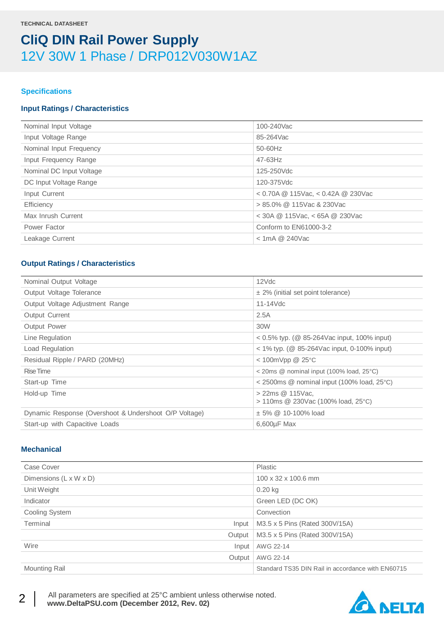#### **Specifications**

#### **Input Ratings / Characteristics**

| Nominal Input Voltage    | 100-240Vac                             |
|--------------------------|----------------------------------------|
| Input Voltage Range      | 85-264Vac                              |
| Nominal Input Frequency  | 50-60Hz                                |
| Input Frequency Range    | $47 - 63$ Hz                           |
| Nominal DC Input Voltage | 125-250Vdc                             |
| DC Input Voltage Range   | 120-375Vdc                             |
| Input Current            | $<$ 0.70A @ 115Vac, $<$ 0.42A @ 230Vac |
| Efficiency               | $> 85.0\%$ @ 115Vac & 230Vac           |
| Max Inrush Current       | $<$ 30A @ 115Vac, $<$ 65A @ 230Vac     |
| Power Factor             | Conform to EN61000-3-2                 |
| Leakage Current          | $<$ 1mA @ 240Vac                       |
|                          |                                        |

#### **Output Ratings / Characteristics**

| Nominal Output Voltage                                | 12Vdc                                                   |
|-------------------------------------------------------|---------------------------------------------------------|
| Output Voltage Tolerance                              | $\pm$ 2% (initial set point tolerance)                  |
| Output Voltage Adjustment Range                       | $11-14$ Vdc                                             |
| <b>Output Current</b>                                 | 2.5A                                                    |
| Output Power                                          | 30W                                                     |
| Line Regulation                                       | $0.5\%$ typ. (@ 85-264Vac input, 100% input)            |
| Load Regulation                                       | $<$ 1% typ. (@ 85-264Vac input, 0-100% input)           |
| Residual Ripple / PARD (20MHz)                        | $<$ 100mVpp @ 25 $\degree$ C                            |
| Rise Time                                             | $\leq$ 20ms @ nominal input (100% load, 25 $\degree$ C) |
| Start-up Time                                         | $\alpha$ 2500ms @ nominal input (100% load, 25°C)       |
| Hold-up Time                                          | > 22ms @ 115Vac.<br>> 110ms @ 230Vac (100% load, 25°C)  |
| Dynamic Response (Overshoot & Undershoot O/P Voltage) | $\pm$ 5% @ 10-100% load                                 |
| Start-up with Capacitive Loads                        | $6,600\mu F$ Max                                        |
|                                                       |                                                         |

#### **Mechanical**

| Case Cover             | Plastic                                           |
|------------------------|---------------------------------------------------|
| Dimensions (L x W x D) | 100 x 32 x 100.6 mm                               |
| Unit Weight            | $0.20$ kg                                         |
| Indicator              | Green LED (DC OK)                                 |
| Cooling System         | Convection                                        |
| Terminal<br>Input      | M3.5 x 5 Pins (Rated 300V/15A)                    |
| Output                 | M3.5 x 5 Pins (Rated 300V/15A)                    |
| Wire<br>Input          | AWG 22-14                                         |
| Output                 | AWG 22-14                                         |
| <b>Mounting Rail</b>   | Standard TS35 DIN Rail in accordance with EN60715 |



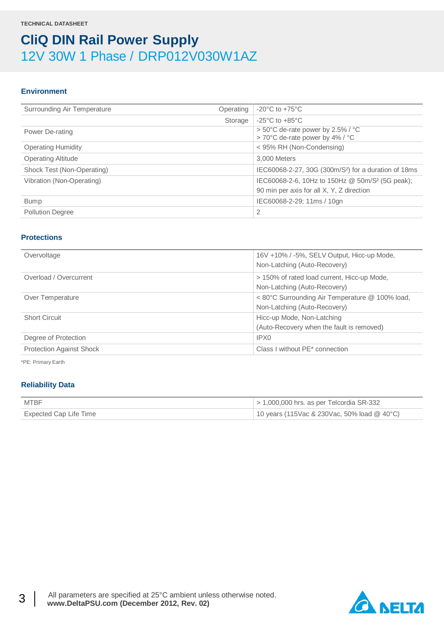#### **Environment**

| Surrounding Air Temperature | Operating | $-20^{\circ}$ C to $+75^{\circ}$ C                                                                       |
|-----------------------------|-----------|----------------------------------------------------------------------------------------------------------|
|                             | Storage   | $-25^{\circ}$ C to $+85^{\circ}$ C                                                                       |
| Power De-rating             |           | > 50°C de-rate power by 2.5% / °C<br>> 70°C de-rate power by 4% / °C                                     |
| <b>Operating Humidity</b>   |           | < 95% RH (Non-Condensing)                                                                                |
| <b>Operating Altitude</b>   |           | 3,000 Meters                                                                                             |
| Shock Test (Non-Operating)  |           | IEC60068-2-27, 30G (300m/S <sup>2</sup> ) for a duration of 18ms                                         |
| Vibration (Non-Operating)   |           | IEC60068-2-6, 10Hz to 150Hz @ 50m/S <sup>2</sup> (5G peak);<br>90 min per axis for all X, Y, Z direction |
| <b>Bump</b>                 |           | IEC60068-2-29; 11ms / 10gn                                                                               |
| <b>Pollution Degree</b>     |           | 2                                                                                                        |

#### **Protections**

| Overvoltage                     | 16V +10% / -5%, SELV Output, Hicc-up Mode,      |  |
|---------------------------------|-------------------------------------------------|--|
|                                 | Non-Latching (Auto-Recovery)                    |  |
| Overload / Overcurrent          | > 150% of rated load current, Hicc-up Mode,     |  |
|                                 | Non-Latching (Auto-Recovery)                    |  |
| Over Temperature                | < 80°C Surrounding Air Temperature @ 100% load, |  |
|                                 | Non-Latching (Auto-Recovery)                    |  |
| <b>Short Circuit</b>            | Hicc-up Mode, Non-Latching                      |  |
|                                 | (Auto-Recovery when the fault is removed)       |  |
| Degree of Protection            | IPX0                                            |  |
| <b>Protection Against Shock</b> | Class I without PE* connection                  |  |

\*PE: Primary Earth

#### **Reliability Data**

| MTBF                   | $>$ 1,000,000 hrs. as per Telcordia SR-332    |
|------------------------|-----------------------------------------------|
| Expected Cap Life Time | 10 years (115Vac & 230Vac, 50% load $@$ 40°C) |

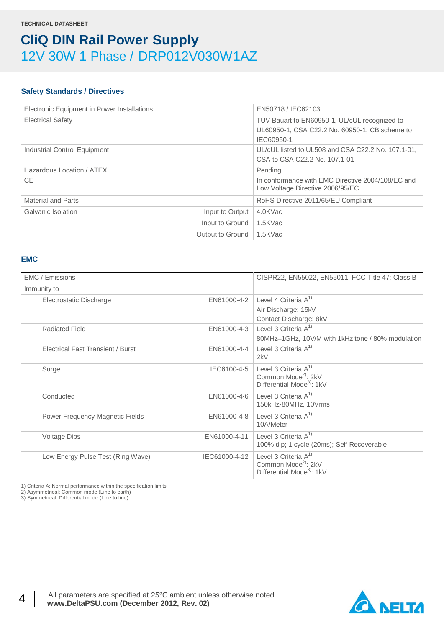#### **Safety Standards / Directives**

| Electronic Equipment in Power Installations | EN50718 / IEC62103                                                                    |
|---------------------------------------------|---------------------------------------------------------------------------------------|
| <b>Electrical Safety</b>                    | TUV Bauart to EN60950-1, UL/cUL recognized to                                         |
|                                             | UL60950-1, CSA C22.2 No. 60950-1, CB scheme to<br>IEC60950-1                          |
| Industrial Control Equipment                | UL/cUL listed to UL508 and CSA C22.2 No. 107.1-01,                                    |
|                                             | CSA to CSA C22.2 No. 107.1-01                                                         |
| Hazardous Location / ATEX                   | Pending                                                                               |
| CE.                                         | In conformance with EMC Directive 2004/108/EC and<br>Low Voltage Directive 2006/95/EC |
| <b>Material and Parts</b>                   | RoHS Directive 2011/65/EU Compliant                                                   |
| Galvanic Isolation<br>Input to Output       | 4.0KVac                                                                               |
| Input to Ground                             | 1.5KVac                                                                               |
| Output to Ground                            | 1.5KVac                                                                               |

#### **EMC**

| <b>EMC</b> / Emissions                   |               | CISPR22, EN55022, EN55011, FCC Title 47: Class B                                                    |
|------------------------------------------|---------------|-----------------------------------------------------------------------------------------------------|
| Immunity to                              |               |                                                                                                     |
| Electrostatic Discharge                  | EN61000-4-2   | Level 4 Criteria $A^{1}$                                                                            |
|                                          |               | Air Discharge: 15kV                                                                                 |
|                                          |               | Contact Discharge: 8kV                                                                              |
| <b>Radiated Field</b>                    | EN61000-4-3   | Level 3 Criteria $A^{1}$                                                                            |
|                                          |               | 80MHz-1GHz, 10V/M with 1kHz tone / 80% modulation                                                   |
| <b>Electrical Fast Transient / Burst</b> | EN61000-4-4   | Level 3 Criteria $A^{1}$<br>2kV                                                                     |
| Surge                                    | IEC6100-4-5   | Level 3 Criteria $A^{1}$<br>Common Mode <sup>2)</sup> : 2kV<br>Differential Mode <sup>3</sup> : 1kV |
| Conducted                                | EN61000-4-6   | Level 3 Criteria $A^{1}$<br>150kHz-80MHz, 10Vrms                                                    |
| Power Frequency Magnetic Fields          | EN61000-4-8   | Level 3 Criteria A <sup>1)</sup><br>10A/Meter                                                       |
| <b>Voltage Dips</b>                      | EN61000-4-11  | Level 3 Criteria $A^{1}$<br>100% dip; 1 cycle (20ms); Self Recoverable                              |
| Low Energy Pulse Test (Ring Wave)        | IEC61000-4-12 | Level 3 Criteria $A^{1}$<br>Common Mode <sup>2)</sup> : 2kV<br>Differential Mode <sup>3</sup> : 1kV |

1) Criteria A: Normal performance within the specification limits

2) Asymmetrical: Common mode (Line to earth)

3) Symmetrical: Differential mode (Line to line)

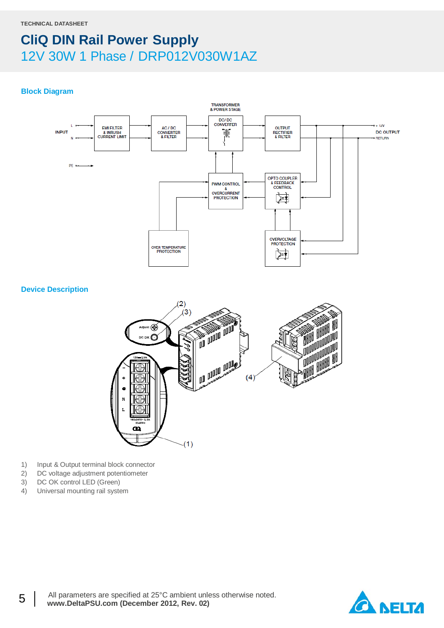#### **Block Diagram**



#### **Device Description**



- 1) Input & Output terminal block connector
- 2) DC voltage adjustment potentiometer
- 3) DC OK control LED (Green)
- 4) Universal mounting rail system

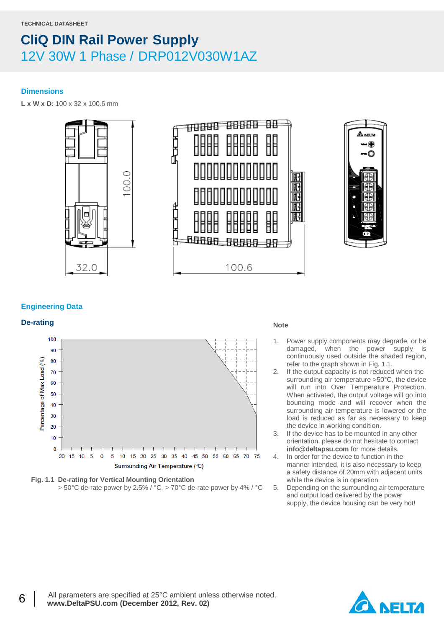#### **Dimensions**

**L x W x D:** 100 x 32 x 100.6 mm



![](_page_5_Picture_5.jpeg)

#### **Engineering Data**

### **De-rating Note**

![](_page_5_Figure_8.jpeg)

![](_page_5_Figure_9.jpeg)

- 1. Power supply components may degrade, or be damaged, when the power supply is continuously used outside the shaded region, refer to the graph shown in Fig. 1.1.
- 2. If the output capacity is not reduced when the surrounding air temperature >50°C, the device will run into Over Temperature Protection. When activated, the output voltage will go into bouncing mode and will recover when the surrounding air temperature is lowered or the load is reduced as far as necessary to keep the device in working condition.
- 3. If the device has to be mounted in any other orientation, please do not hesitate to contact **info@deltapsu.com** for more details.
- 4. In order for the device to function in the manner intended, it is also necessary to keep a safety distance of 20mm with adjacent units while the device is in operation.
- 5. Depending on the surrounding air temperature and output load delivered by the power supply, the device housing can be very hot!

![](_page_5_Picture_16.jpeg)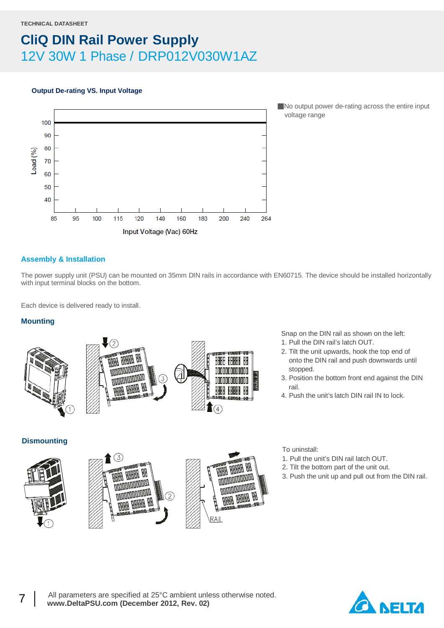#### **Output De-rating VS. Input Voltage**

![](_page_6_Figure_3.jpeg)

■No output power de-rating across the entire input voltage range

#### **Assembly & Installation**

The power supply unit (PSU) can be mounted on 35mm DIN rails in accordance with EN60715. The device should be installed horizontally with input terminal blocks on the bottom.

Each device is delivered ready to install.

#### **Mounting**

![](_page_6_Picture_9.jpeg)

![](_page_6_Picture_10.jpeg)

![](_page_6_Picture_11.jpeg)

Snap on the DIN rail as shown on the left:

- 1. Pull the DIN rail's latch OUT.
- 2. Tilt the unit upwards, hook the top end of onto the DIN rail and push downwards until stopped.
- 3. Position the bottom front end against the DIN rail.
- 4. Push the unit's latch DIN rail IN to lock.

**Dismounting**

![](_page_6_Picture_18.jpeg)

![](_page_6_Picture_19.jpeg)

![](_page_6_Picture_20.jpeg)

To uninstall:

- 1. Pull the unit's DIN rail latch OUT.
- 2. Tilt the bottom part of the unit out.
- 3. Push the unit up and pull out from the DIN rail.

![](_page_6_Picture_25.jpeg)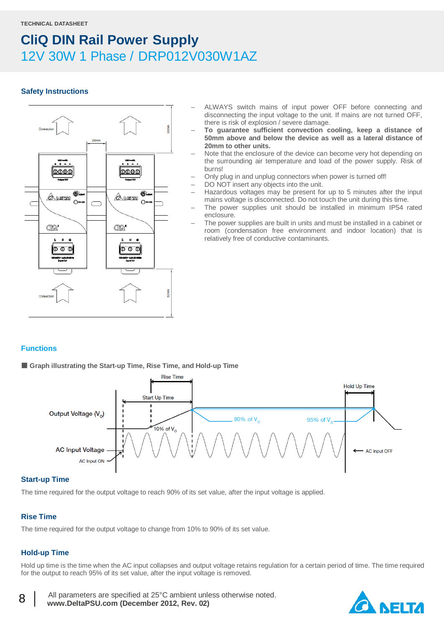#### **Safety Instructions**

![](_page_7_Figure_3.jpeg)

- ALWAYS switch mains of input power OFF before connecting and disconnecting the input voltage to the unit. If mains are not turned OFF, there is risk of explosion / severe damage.
- **To guarantee sufficient convection cooling, keep a distance of 50mm above and below the device as well as a lateral distance of 20mm to other units.**
- Note that the enclosure of the device can become very hot depending on the surrounding air temperature and load of the power supply. Risk of burns!
- Only plug in and unplug connectors when power is turned off!
- DO NOT insert any objects into the unit.
- Hazardous voltages may be present for up to 5 minutes after the input mains voltage is disconnected. Do not touch the unit during this time.
- The power supplies unit should be installed in minimum IP54 rated enclosure.
- The power supplies are built in units and must be installed in a cabinet or room (condensation free environment and indoor location) that is relatively free of conductive contaminants.

#### **Functions**

■ Graph illustrating the Start-up Time, Rise Time, and Hold-up Time

![](_page_7_Figure_14.jpeg)

#### **Start-up Time**

The time required for the output voltage to reach 90% of its set value, after the input voltage is applied.

#### **Rise Time**

The time required for the output voltage to change from 10% to 90% of its set value.

#### **Hold-up Time**

Hold up time is the time when the AC input collapses and output voltage retains regulation for a certain period of time. The time required for the output to reach 95% of its set value, after the input voltage is removed.

8 | All parameters are specified at 25°C ambient unless otherwise noted. www.DeltaPSU.com (December 2012, Rev. 02)

![](_page_7_Picture_22.jpeg)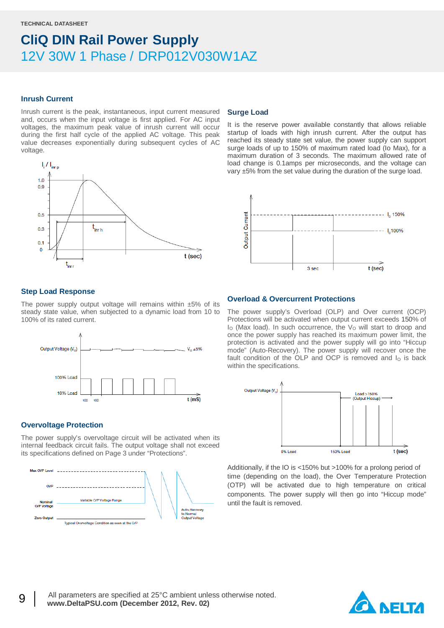#### **Inrush Current**

Inrush current is the peak, instantaneous, input current measured and, occurs when the input voltage is first applied. For AC input voltages, the maximum peak value of inrush current will occur during the first half cycle of the applied AC voltage. This peak value decreases exponentially during subsequent cycles of AC voltage.

![](_page_8_Figure_4.jpeg)

#### **Surge Load**

It is the reserve power available constantly that allows reliable startup of loads with high inrush current. After the output has reached its steady state set value, the power supply can support surge loads of up to 150% of maximum rated load (Io Max), for a maximum duration of 3 seconds. The maximum allowed rate of load change is 0.1amps per microseconds, and the voltage can vary ±5% from the set value during the duration of the surge load.

![](_page_8_Figure_7.jpeg)

#### **Step Load Response**

The power supply output voltage will remains within  $±5\%$  of its steady state value, when subjected to a dynamic load from 10 to 100% of its rated current.

![](_page_8_Figure_10.jpeg)

#### **Overvoltage Protection**

The power supply's overvoltage circuit will be activated when its internal feedback circuit fails. The output voltage shall not exceed its specifications defined on Page 3 under "Protections".

![](_page_8_Figure_13.jpeg)

#### **Overload & Overcurrent Protections**

The power supply's Overload (OLP) and Over current (OCP) Protections will be activated when output current exceeds 150% of I<sub>O</sub> (Max load). In such occurrence, the V<sub>O</sub> will start to droop and once the power supply has reached its maximum power limit, the protection is activated and the power supply will go into "Hiccup mode" (Auto-Recovery). The power supply will recover once the fault condition of the OLP and OCP is removed and  $I<sub>O</sub>$  is back within the specifications.

![](_page_8_Figure_16.jpeg)

Additionally, if the IO is <150% but >100% for a prolong period of time (depending on the load), the Over Temperature Protection (OTP) will be activated due to high temperature on critical components. The power supply will then go into "Hiccup mode" until the fault is removed.

![](_page_8_Picture_18.jpeg)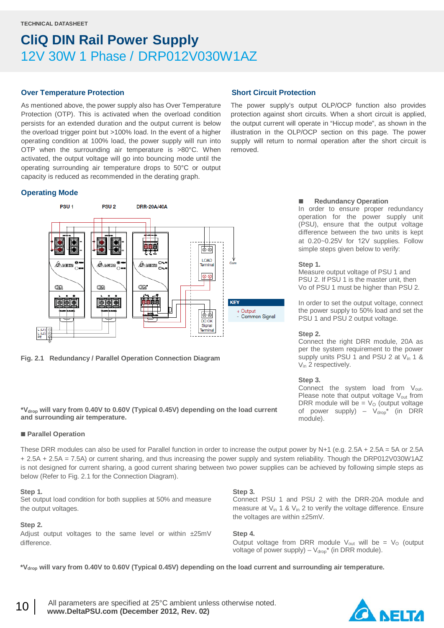#### **Over Temperature Protection**

As mentioned above, the power supply also has Over Temperature Protection (OTP). This is activated when the overload condition persists for an extended duration and the output current is below the overload trigger point but >100% load. In the event of a higher operating condition at 100% load, the power supply will run into OTP when the surrounding air temperature is >80°C. When activated, the output voltage will go into bouncing mode until the operating surrounding air temperature drops to 50°C or output capacity is reduced as recommended in the derating graph.

#### **Operating Mode**

![](_page_9_Figure_5.jpeg)

**Fig. 2.1 Redundancy / Parallel Operation Connection Diagram**

#### **\*Vdrop will vary from 0.40V to 0.60V (Typical 0.45V) depending on the load current and surrounding air temperature.**

#### **Parallel Operation**

These DRR modules can also be used for Parallel function in order to increase the output power by N+1 (e.g. 2.5A + 2.5A = 5A or 2.5A + 2.5A + 2.5A = 7.5A) or current sharing, and thus increasing the power supply and system reliability. Though the DRP012V030W1AZ is not designed for current sharing, a good current sharing between two power supplies can be achieved by following simple steps as below (Refer to Fig. 2.1 for the Connection Diagram).

#### **Step 1.**

Set output load condition for both supplies at 50% and measure the output voltages.

#### **Step 2.**

Adjust output voltages to the same level or within ±25mV difference.

#### **Short Circuit Protection**

The power supply's output OLP/OCP function also provides protection against short circuits. When a short circuit is applied, the output current will operate in "Hiccup mode", as shown in the illustration in the OLP/OCP section on this page. The power supply will return to normal operation after the short circuit is removed.

#### **Redundancy Operation**

In order to ensure proper redundancy operation for the power supply unit (PSU), ensure that the output voltage difference between the two units is kept at 0.20~0.25V for 12V supplies. Follow simple steps given below to verify:

#### **Step 1.**

Measure output voltage of PSU 1 and PSU 2. If PSU 1 is the master unit, then Vo of PSU 1 must be higher than PSU 2.

In order to set the output voltage, connect the power supply to 50% load and set the PSU 1 and PSU 2 output voltage.

#### **Step 2.**

Connect the right DRR module, 20A as per the system requirement to the power supply units PSU 1 and PSU 2 at V<sub>in</sub> 1 & V<sub>in</sub> 2 respectively.

#### **Step 3.**

Connect the system load from V<sub>out</sub>. Please note that output voltage  $V_{out}$  from DRR module will be =  $V<sub>O</sub>$  (output voltage of power supply) –  $V_{drop}^*$  (in DRR module).

Connect PSU 1 and PSU 2 with the DRR-20A module and measure at  $V_{in}$  1 &  $V_{in}$  2 to verify the voltage difference. Ensure the voltages are within ±25mV.

**Step 4.**

**Step 3.**

Output voltage from DRR module  $V_{\text{out}}$  will be =  $V_{\text{O}}$  (output voltage of power supply) –  $V_{drop}^*$  (in DRR module).

**\*Vdrop will vary from 0.40V to 0.60V (Typical 0.45V) depending on the load current and surrounding air temperature.**

10 | All parameters are specified at 25°C ambient unless otherwise noted. www.DeltaPSU.com (December 2012, Rev. 02)

![](_page_9_Picture_30.jpeg)